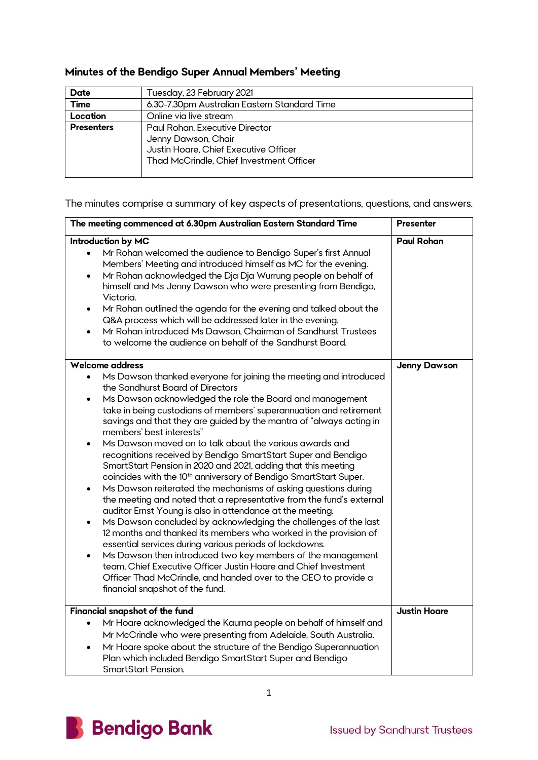## **Minutes of the Bendigo Super Annual Members' Meeting**

| <b>Date</b>       | Tuesday, 23 February 2021                                                                                                                  |
|-------------------|--------------------------------------------------------------------------------------------------------------------------------------------|
| <b>Time</b>       | 6.30-7.30pm Australian Eastern Standard Time                                                                                               |
| Location          | Online via live stream                                                                                                                     |
| <b>Presenters</b> | Paul Rohan, Executive Director<br>Jenny Dawson, Chair<br>Justin Hoare, Chief Executive Officer<br>Thad McCrindle, Chief Investment Officer |

The minutes comprise a summary of key aspects of presentations, questions, and answers.

| The meeting commenced at 6.30pm Australian Eastern Standard Time                                                                                                                                                                                                                                                                                                                                                                                                                                                                                                                                                                                                                                                                                                                                                                                                                                                                                                                                                                                                                                                                                                                                                                                                                                                      | <b>Presenter</b>    |
|-----------------------------------------------------------------------------------------------------------------------------------------------------------------------------------------------------------------------------------------------------------------------------------------------------------------------------------------------------------------------------------------------------------------------------------------------------------------------------------------------------------------------------------------------------------------------------------------------------------------------------------------------------------------------------------------------------------------------------------------------------------------------------------------------------------------------------------------------------------------------------------------------------------------------------------------------------------------------------------------------------------------------------------------------------------------------------------------------------------------------------------------------------------------------------------------------------------------------------------------------------------------------------------------------------------------------|---------------------|
| Introduction by MC<br>Mr Rohan welcomed the audience to Bendigo Super's first Annual<br>$\bullet$<br>Members' Meeting and introduced himself as MC for the evening.<br>Mr Rohan acknowledged the Dja Dja Wurrung people on behalf of<br>$\bullet$<br>himself and Ms Jenny Dawson who were presenting from Bendigo,<br>Victoria.<br>Mr Rohan outlined the agenda for the evening and talked about the<br>Q&A process which will be addressed later in the evening.<br>Mr Rohan introduced Ms Dawson, Chairman of Sandhurst Trustees<br>$\bullet$<br>to welcome the audience on behalf of the Sandhurst Board.                                                                                                                                                                                                                                                                                                                                                                                                                                                                                                                                                                                                                                                                                                          | <b>Paul Rohan</b>   |
| Welcome address<br>Ms Dawson thanked everyone for joining the meeting and introduced<br>$\bullet$<br>the Sandhurst Board of Directors<br>Ms Dawson acknowledged the role the Board and management<br>take in being custodians of members' superannuation and retirement<br>savings and that they are guided by the mantra of "always acting in<br>members' best interests"<br>Ms Dawson moved on to talk about the various awards and<br>recognitions received by Bendigo SmartStart Super and Bendigo<br>SmartStart Pension in 2020 and 2021, adding that this meeting<br>coincides with the 10 <sup>th</sup> anniversary of Bendigo SmartStart Super.<br>Ms Dawson reiterated the mechanisms of asking questions during<br>$\bullet$<br>the meeting and noted that a representative from the fund's external<br>auditor Ernst Young is also in attendance at the meeting.<br>Ms Dawson concluded by acknowledging the challenges of the last<br>12 months and thanked its members who worked in the provision of<br>essential services during various periods of lockdowns.<br>Ms Dawson then introduced two key members of the management<br>team, Chief Executive Officer Justin Hoare and Chief Investment<br>Officer Thad McCrindle, and handed over to the CEO to provide a<br>financial snapshot of the fund. | <b>Jenny Dawson</b> |
| Financial snapshot of the fund<br>Mr Hoare acknowledged the Kaurna people on behalf of himself and<br>Mr McCrindle who were presenting from Adelaide, South Australia.<br>Mr Hoare spoke about the structure of the Bendigo Superannuation<br>$\bullet$<br>Plan which included Bendigo SmartStart Super and Bendigo<br><b>SmartStart Pension.</b>                                                                                                                                                                                                                                                                                                                                                                                                                                                                                                                                                                                                                                                                                                                                                                                                                                                                                                                                                                     | <b>Justin Hoare</b> |

1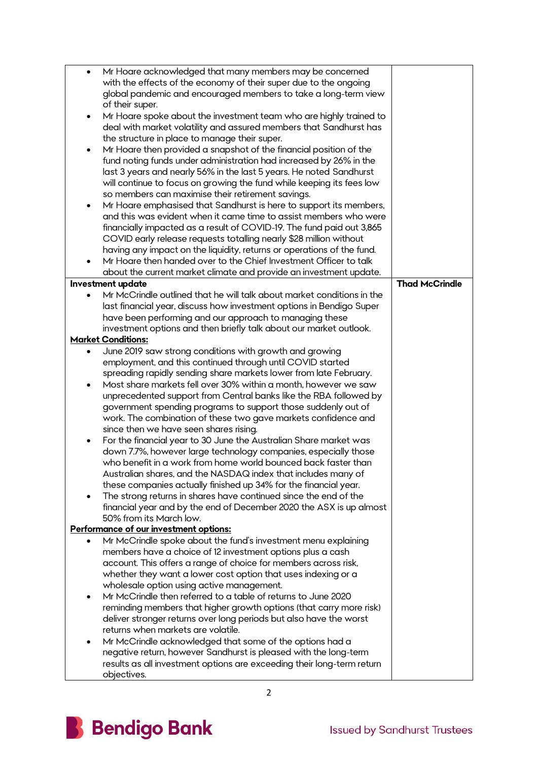| with the effects of the economy of their super due to the ongoing<br>global pandemic and encouraged members to take a long-term view<br>of their super.<br>Mr Hoare spoke about the investment team who are highly trained to<br>٠<br>deal with market volatility and assured members that Sandhurst has<br>the structure in place to manage their super.<br>Mr Hoare then provided a snapshot of the financial position of the<br>fund noting funds under administration had increased by 26% in the<br>last 3 years and nearly 56% in the last 5 years. He noted Sandhurst<br>will continue to focus on growing the fund while keeping its fees low<br>so members can maximise their retirement savings.<br>Mr Hoare emphasised that Sandhurst is here to support its members,<br>and this was evident when it came time to assist members who were<br>financially impacted as a result of COVID-19. The fund paid out 3,865<br>COVID early release requests totalling nearly \$28 million without<br>having any impact on the liquidity, returns or operations of the fund.<br>Mr Hoare then handed over to the Chief Investment Officer to talk<br>about the current market climate and provide an investment update.<br><b>Thad McCrindle</b><br><b>Investment update</b><br>Mr McCrindle outlined that he will talk about market conditions in the<br>last financial year, discuss how investment options in Bendigo Super<br>have been performing and our approach to managing these<br>investment options and then briefly talk about our market outlook.<br><b>Market Conditions:</b><br>June 2019 saw strong conditions with growth and growing<br>employment, and this continued through until COVID started<br>spreading rapidly sending share markets lower from late February.<br>Most share markets fell over 30% within a month, however we saw<br>$\bullet$<br>unprecedented support from Central banks like the RBA followed by<br>government spending programs to support those suddenly out of<br>work. The combination of these two gave markets confidence and<br>since then we have seen shares rising.<br>For the financial year to 30 June the Australian Share market was<br>٠<br>down 7.7%, however large technology companies, especially those<br>who benefit in a work from home world bounced back faster than<br>Australian shares, and the NASDAQ index that includes many of<br>these companies actually finished up 34% for the financial year.<br>The strong returns in shares have continued since the end of the<br>financial year and by the end of December 2020 the ASX is up almost<br>50% from its March low.<br>Performance of our investment options:<br>Mr McCrindle spoke about the fund's investment menu explaining<br>members have a choice of 12 investment options plus a cash<br>account. This offers a range of choice for members across risk,<br>whether they want a lower cost option that uses indexing or a<br>wholesale option using active management.<br>Mr McCrindle then referred to a table of returns to June 2020<br>$\bullet$<br>reminding members that higher growth options (that carry more risk)<br>deliver stronger returns over long periods but also have the worst<br>returns when markets are volatile.<br>Mr McCrindle acknowledged that some of the options had a<br>negative return, however Sandhurst is pleased with the long-term<br>results as all investment options are exceeding their long-term return | $\bullet$ | Mr Hoare acknowledged that many members may be concerned |  |
|------------------------------------------------------------------------------------------------------------------------------------------------------------------------------------------------------------------------------------------------------------------------------------------------------------------------------------------------------------------------------------------------------------------------------------------------------------------------------------------------------------------------------------------------------------------------------------------------------------------------------------------------------------------------------------------------------------------------------------------------------------------------------------------------------------------------------------------------------------------------------------------------------------------------------------------------------------------------------------------------------------------------------------------------------------------------------------------------------------------------------------------------------------------------------------------------------------------------------------------------------------------------------------------------------------------------------------------------------------------------------------------------------------------------------------------------------------------------------------------------------------------------------------------------------------------------------------------------------------------------------------------------------------------------------------------------------------------------------------------------------------------------------------------------------------------------------------------------------------------------------------------------------------------------------------------------------------------------------------------------------------------------------------------------------------------------------------------------------------------------------------------------------------------------------------------------------------------------------------------------------------------------------------------------------------------------------------------------------------------------------------------------------------------------------------------------------------------------------------------------------------------------------------------------------------------------------------------------------------------------------------------------------------------------------------------------------------------------------------------------------------------------------------------------------------------------------------------------------------------------------------------------------------------------------------------------------------------------------------------------------------------------------------------------------------------------------------------------------------------------------------------------------------------------------------------------------------------------------------------------------------------------------------------------------------------------------------------------------------------------------------------------------------------------------------------------------------------------------------------------|-----------|----------------------------------------------------------|--|
|                                                                                                                                                                                                                                                                                                                                                                                                                                                                                                                                                                                                                                                                                                                                                                                                                                                                                                                                                                                                                                                                                                                                                                                                                                                                                                                                                                                                                                                                                                                                                                                                                                                                                                                                                                                                                                                                                                                                                                                                                                                                                                                                                                                                                                                                                                                                                                                                                                                                                                                                                                                                                                                                                                                                                                                                                                                                                                                                                                                                                                                                                                                                                                                                                                                                                                                                                                                                                                                                                                |           |                                                          |  |
|                                                                                                                                                                                                                                                                                                                                                                                                                                                                                                                                                                                                                                                                                                                                                                                                                                                                                                                                                                                                                                                                                                                                                                                                                                                                                                                                                                                                                                                                                                                                                                                                                                                                                                                                                                                                                                                                                                                                                                                                                                                                                                                                                                                                                                                                                                                                                                                                                                                                                                                                                                                                                                                                                                                                                                                                                                                                                                                                                                                                                                                                                                                                                                                                                                                                                                                                                                                                                                                                                                |           |                                                          |  |
|                                                                                                                                                                                                                                                                                                                                                                                                                                                                                                                                                                                                                                                                                                                                                                                                                                                                                                                                                                                                                                                                                                                                                                                                                                                                                                                                                                                                                                                                                                                                                                                                                                                                                                                                                                                                                                                                                                                                                                                                                                                                                                                                                                                                                                                                                                                                                                                                                                                                                                                                                                                                                                                                                                                                                                                                                                                                                                                                                                                                                                                                                                                                                                                                                                                                                                                                                                                                                                                                                                |           |                                                          |  |
|                                                                                                                                                                                                                                                                                                                                                                                                                                                                                                                                                                                                                                                                                                                                                                                                                                                                                                                                                                                                                                                                                                                                                                                                                                                                                                                                                                                                                                                                                                                                                                                                                                                                                                                                                                                                                                                                                                                                                                                                                                                                                                                                                                                                                                                                                                                                                                                                                                                                                                                                                                                                                                                                                                                                                                                                                                                                                                                                                                                                                                                                                                                                                                                                                                                                                                                                                                                                                                                                                                |           |                                                          |  |
|                                                                                                                                                                                                                                                                                                                                                                                                                                                                                                                                                                                                                                                                                                                                                                                                                                                                                                                                                                                                                                                                                                                                                                                                                                                                                                                                                                                                                                                                                                                                                                                                                                                                                                                                                                                                                                                                                                                                                                                                                                                                                                                                                                                                                                                                                                                                                                                                                                                                                                                                                                                                                                                                                                                                                                                                                                                                                                                                                                                                                                                                                                                                                                                                                                                                                                                                                                                                                                                                                                |           |                                                          |  |
|                                                                                                                                                                                                                                                                                                                                                                                                                                                                                                                                                                                                                                                                                                                                                                                                                                                                                                                                                                                                                                                                                                                                                                                                                                                                                                                                                                                                                                                                                                                                                                                                                                                                                                                                                                                                                                                                                                                                                                                                                                                                                                                                                                                                                                                                                                                                                                                                                                                                                                                                                                                                                                                                                                                                                                                                                                                                                                                                                                                                                                                                                                                                                                                                                                                                                                                                                                                                                                                                                                |           |                                                          |  |
|                                                                                                                                                                                                                                                                                                                                                                                                                                                                                                                                                                                                                                                                                                                                                                                                                                                                                                                                                                                                                                                                                                                                                                                                                                                                                                                                                                                                                                                                                                                                                                                                                                                                                                                                                                                                                                                                                                                                                                                                                                                                                                                                                                                                                                                                                                                                                                                                                                                                                                                                                                                                                                                                                                                                                                                                                                                                                                                                                                                                                                                                                                                                                                                                                                                                                                                                                                                                                                                                                                |           |                                                          |  |
|                                                                                                                                                                                                                                                                                                                                                                                                                                                                                                                                                                                                                                                                                                                                                                                                                                                                                                                                                                                                                                                                                                                                                                                                                                                                                                                                                                                                                                                                                                                                                                                                                                                                                                                                                                                                                                                                                                                                                                                                                                                                                                                                                                                                                                                                                                                                                                                                                                                                                                                                                                                                                                                                                                                                                                                                                                                                                                                                                                                                                                                                                                                                                                                                                                                                                                                                                                                                                                                                                                |           |                                                          |  |
|                                                                                                                                                                                                                                                                                                                                                                                                                                                                                                                                                                                                                                                                                                                                                                                                                                                                                                                                                                                                                                                                                                                                                                                                                                                                                                                                                                                                                                                                                                                                                                                                                                                                                                                                                                                                                                                                                                                                                                                                                                                                                                                                                                                                                                                                                                                                                                                                                                                                                                                                                                                                                                                                                                                                                                                                                                                                                                                                                                                                                                                                                                                                                                                                                                                                                                                                                                                                                                                                                                |           |                                                          |  |
|                                                                                                                                                                                                                                                                                                                                                                                                                                                                                                                                                                                                                                                                                                                                                                                                                                                                                                                                                                                                                                                                                                                                                                                                                                                                                                                                                                                                                                                                                                                                                                                                                                                                                                                                                                                                                                                                                                                                                                                                                                                                                                                                                                                                                                                                                                                                                                                                                                                                                                                                                                                                                                                                                                                                                                                                                                                                                                                                                                                                                                                                                                                                                                                                                                                                                                                                                                                                                                                                                                |           |                                                          |  |
|                                                                                                                                                                                                                                                                                                                                                                                                                                                                                                                                                                                                                                                                                                                                                                                                                                                                                                                                                                                                                                                                                                                                                                                                                                                                                                                                                                                                                                                                                                                                                                                                                                                                                                                                                                                                                                                                                                                                                                                                                                                                                                                                                                                                                                                                                                                                                                                                                                                                                                                                                                                                                                                                                                                                                                                                                                                                                                                                                                                                                                                                                                                                                                                                                                                                                                                                                                                                                                                                                                |           |                                                          |  |
|                                                                                                                                                                                                                                                                                                                                                                                                                                                                                                                                                                                                                                                                                                                                                                                                                                                                                                                                                                                                                                                                                                                                                                                                                                                                                                                                                                                                                                                                                                                                                                                                                                                                                                                                                                                                                                                                                                                                                                                                                                                                                                                                                                                                                                                                                                                                                                                                                                                                                                                                                                                                                                                                                                                                                                                                                                                                                                                                                                                                                                                                                                                                                                                                                                                                                                                                                                                                                                                                                                |           |                                                          |  |
|                                                                                                                                                                                                                                                                                                                                                                                                                                                                                                                                                                                                                                                                                                                                                                                                                                                                                                                                                                                                                                                                                                                                                                                                                                                                                                                                                                                                                                                                                                                                                                                                                                                                                                                                                                                                                                                                                                                                                                                                                                                                                                                                                                                                                                                                                                                                                                                                                                                                                                                                                                                                                                                                                                                                                                                                                                                                                                                                                                                                                                                                                                                                                                                                                                                                                                                                                                                                                                                                                                |           |                                                          |  |
|                                                                                                                                                                                                                                                                                                                                                                                                                                                                                                                                                                                                                                                                                                                                                                                                                                                                                                                                                                                                                                                                                                                                                                                                                                                                                                                                                                                                                                                                                                                                                                                                                                                                                                                                                                                                                                                                                                                                                                                                                                                                                                                                                                                                                                                                                                                                                                                                                                                                                                                                                                                                                                                                                                                                                                                                                                                                                                                                                                                                                                                                                                                                                                                                                                                                                                                                                                                                                                                                                                |           |                                                          |  |
|                                                                                                                                                                                                                                                                                                                                                                                                                                                                                                                                                                                                                                                                                                                                                                                                                                                                                                                                                                                                                                                                                                                                                                                                                                                                                                                                                                                                                                                                                                                                                                                                                                                                                                                                                                                                                                                                                                                                                                                                                                                                                                                                                                                                                                                                                                                                                                                                                                                                                                                                                                                                                                                                                                                                                                                                                                                                                                                                                                                                                                                                                                                                                                                                                                                                                                                                                                                                                                                                                                |           |                                                          |  |
|                                                                                                                                                                                                                                                                                                                                                                                                                                                                                                                                                                                                                                                                                                                                                                                                                                                                                                                                                                                                                                                                                                                                                                                                                                                                                                                                                                                                                                                                                                                                                                                                                                                                                                                                                                                                                                                                                                                                                                                                                                                                                                                                                                                                                                                                                                                                                                                                                                                                                                                                                                                                                                                                                                                                                                                                                                                                                                                                                                                                                                                                                                                                                                                                                                                                                                                                                                                                                                                                                                |           |                                                          |  |
|                                                                                                                                                                                                                                                                                                                                                                                                                                                                                                                                                                                                                                                                                                                                                                                                                                                                                                                                                                                                                                                                                                                                                                                                                                                                                                                                                                                                                                                                                                                                                                                                                                                                                                                                                                                                                                                                                                                                                                                                                                                                                                                                                                                                                                                                                                                                                                                                                                                                                                                                                                                                                                                                                                                                                                                                                                                                                                                                                                                                                                                                                                                                                                                                                                                                                                                                                                                                                                                                                                |           |                                                          |  |
|                                                                                                                                                                                                                                                                                                                                                                                                                                                                                                                                                                                                                                                                                                                                                                                                                                                                                                                                                                                                                                                                                                                                                                                                                                                                                                                                                                                                                                                                                                                                                                                                                                                                                                                                                                                                                                                                                                                                                                                                                                                                                                                                                                                                                                                                                                                                                                                                                                                                                                                                                                                                                                                                                                                                                                                                                                                                                                                                                                                                                                                                                                                                                                                                                                                                                                                                                                                                                                                                                                |           |                                                          |  |
|                                                                                                                                                                                                                                                                                                                                                                                                                                                                                                                                                                                                                                                                                                                                                                                                                                                                                                                                                                                                                                                                                                                                                                                                                                                                                                                                                                                                                                                                                                                                                                                                                                                                                                                                                                                                                                                                                                                                                                                                                                                                                                                                                                                                                                                                                                                                                                                                                                                                                                                                                                                                                                                                                                                                                                                                                                                                                                                                                                                                                                                                                                                                                                                                                                                                                                                                                                                                                                                                                                |           |                                                          |  |
|                                                                                                                                                                                                                                                                                                                                                                                                                                                                                                                                                                                                                                                                                                                                                                                                                                                                                                                                                                                                                                                                                                                                                                                                                                                                                                                                                                                                                                                                                                                                                                                                                                                                                                                                                                                                                                                                                                                                                                                                                                                                                                                                                                                                                                                                                                                                                                                                                                                                                                                                                                                                                                                                                                                                                                                                                                                                                                                                                                                                                                                                                                                                                                                                                                                                                                                                                                                                                                                                                                |           |                                                          |  |
|                                                                                                                                                                                                                                                                                                                                                                                                                                                                                                                                                                                                                                                                                                                                                                                                                                                                                                                                                                                                                                                                                                                                                                                                                                                                                                                                                                                                                                                                                                                                                                                                                                                                                                                                                                                                                                                                                                                                                                                                                                                                                                                                                                                                                                                                                                                                                                                                                                                                                                                                                                                                                                                                                                                                                                                                                                                                                                                                                                                                                                                                                                                                                                                                                                                                                                                                                                                                                                                                                                |           |                                                          |  |
|                                                                                                                                                                                                                                                                                                                                                                                                                                                                                                                                                                                                                                                                                                                                                                                                                                                                                                                                                                                                                                                                                                                                                                                                                                                                                                                                                                                                                                                                                                                                                                                                                                                                                                                                                                                                                                                                                                                                                                                                                                                                                                                                                                                                                                                                                                                                                                                                                                                                                                                                                                                                                                                                                                                                                                                                                                                                                                                                                                                                                                                                                                                                                                                                                                                                                                                                                                                                                                                                                                |           |                                                          |  |
|                                                                                                                                                                                                                                                                                                                                                                                                                                                                                                                                                                                                                                                                                                                                                                                                                                                                                                                                                                                                                                                                                                                                                                                                                                                                                                                                                                                                                                                                                                                                                                                                                                                                                                                                                                                                                                                                                                                                                                                                                                                                                                                                                                                                                                                                                                                                                                                                                                                                                                                                                                                                                                                                                                                                                                                                                                                                                                                                                                                                                                                                                                                                                                                                                                                                                                                                                                                                                                                                                                |           |                                                          |  |
|                                                                                                                                                                                                                                                                                                                                                                                                                                                                                                                                                                                                                                                                                                                                                                                                                                                                                                                                                                                                                                                                                                                                                                                                                                                                                                                                                                                                                                                                                                                                                                                                                                                                                                                                                                                                                                                                                                                                                                                                                                                                                                                                                                                                                                                                                                                                                                                                                                                                                                                                                                                                                                                                                                                                                                                                                                                                                                                                                                                                                                                                                                                                                                                                                                                                                                                                                                                                                                                                                                |           |                                                          |  |
|                                                                                                                                                                                                                                                                                                                                                                                                                                                                                                                                                                                                                                                                                                                                                                                                                                                                                                                                                                                                                                                                                                                                                                                                                                                                                                                                                                                                                                                                                                                                                                                                                                                                                                                                                                                                                                                                                                                                                                                                                                                                                                                                                                                                                                                                                                                                                                                                                                                                                                                                                                                                                                                                                                                                                                                                                                                                                                                                                                                                                                                                                                                                                                                                                                                                                                                                                                                                                                                                                                |           |                                                          |  |
|                                                                                                                                                                                                                                                                                                                                                                                                                                                                                                                                                                                                                                                                                                                                                                                                                                                                                                                                                                                                                                                                                                                                                                                                                                                                                                                                                                                                                                                                                                                                                                                                                                                                                                                                                                                                                                                                                                                                                                                                                                                                                                                                                                                                                                                                                                                                                                                                                                                                                                                                                                                                                                                                                                                                                                                                                                                                                                                                                                                                                                                                                                                                                                                                                                                                                                                                                                                                                                                                                                |           |                                                          |  |
|                                                                                                                                                                                                                                                                                                                                                                                                                                                                                                                                                                                                                                                                                                                                                                                                                                                                                                                                                                                                                                                                                                                                                                                                                                                                                                                                                                                                                                                                                                                                                                                                                                                                                                                                                                                                                                                                                                                                                                                                                                                                                                                                                                                                                                                                                                                                                                                                                                                                                                                                                                                                                                                                                                                                                                                                                                                                                                                                                                                                                                                                                                                                                                                                                                                                                                                                                                                                                                                                                                |           |                                                          |  |
|                                                                                                                                                                                                                                                                                                                                                                                                                                                                                                                                                                                                                                                                                                                                                                                                                                                                                                                                                                                                                                                                                                                                                                                                                                                                                                                                                                                                                                                                                                                                                                                                                                                                                                                                                                                                                                                                                                                                                                                                                                                                                                                                                                                                                                                                                                                                                                                                                                                                                                                                                                                                                                                                                                                                                                                                                                                                                                                                                                                                                                                                                                                                                                                                                                                                                                                                                                                                                                                                                                |           |                                                          |  |
|                                                                                                                                                                                                                                                                                                                                                                                                                                                                                                                                                                                                                                                                                                                                                                                                                                                                                                                                                                                                                                                                                                                                                                                                                                                                                                                                                                                                                                                                                                                                                                                                                                                                                                                                                                                                                                                                                                                                                                                                                                                                                                                                                                                                                                                                                                                                                                                                                                                                                                                                                                                                                                                                                                                                                                                                                                                                                                                                                                                                                                                                                                                                                                                                                                                                                                                                                                                                                                                                                                |           |                                                          |  |
|                                                                                                                                                                                                                                                                                                                                                                                                                                                                                                                                                                                                                                                                                                                                                                                                                                                                                                                                                                                                                                                                                                                                                                                                                                                                                                                                                                                                                                                                                                                                                                                                                                                                                                                                                                                                                                                                                                                                                                                                                                                                                                                                                                                                                                                                                                                                                                                                                                                                                                                                                                                                                                                                                                                                                                                                                                                                                                                                                                                                                                                                                                                                                                                                                                                                                                                                                                                                                                                                                                |           |                                                          |  |
|                                                                                                                                                                                                                                                                                                                                                                                                                                                                                                                                                                                                                                                                                                                                                                                                                                                                                                                                                                                                                                                                                                                                                                                                                                                                                                                                                                                                                                                                                                                                                                                                                                                                                                                                                                                                                                                                                                                                                                                                                                                                                                                                                                                                                                                                                                                                                                                                                                                                                                                                                                                                                                                                                                                                                                                                                                                                                                                                                                                                                                                                                                                                                                                                                                                                                                                                                                                                                                                                                                |           |                                                          |  |
|                                                                                                                                                                                                                                                                                                                                                                                                                                                                                                                                                                                                                                                                                                                                                                                                                                                                                                                                                                                                                                                                                                                                                                                                                                                                                                                                                                                                                                                                                                                                                                                                                                                                                                                                                                                                                                                                                                                                                                                                                                                                                                                                                                                                                                                                                                                                                                                                                                                                                                                                                                                                                                                                                                                                                                                                                                                                                                                                                                                                                                                                                                                                                                                                                                                                                                                                                                                                                                                                                                |           |                                                          |  |
|                                                                                                                                                                                                                                                                                                                                                                                                                                                                                                                                                                                                                                                                                                                                                                                                                                                                                                                                                                                                                                                                                                                                                                                                                                                                                                                                                                                                                                                                                                                                                                                                                                                                                                                                                                                                                                                                                                                                                                                                                                                                                                                                                                                                                                                                                                                                                                                                                                                                                                                                                                                                                                                                                                                                                                                                                                                                                                                                                                                                                                                                                                                                                                                                                                                                                                                                                                                                                                                                                                |           |                                                          |  |
|                                                                                                                                                                                                                                                                                                                                                                                                                                                                                                                                                                                                                                                                                                                                                                                                                                                                                                                                                                                                                                                                                                                                                                                                                                                                                                                                                                                                                                                                                                                                                                                                                                                                                                                                                                                                                                                                                                                                                                                                                                                                                                                                                                                                                                                                                                                                                                                                                                                                                                                                                                                                                                                                                                                                                                                                                                                                                                                                                                                                                                                                                                                                                                                                                                                                                                                                                                                                                                                                                                |           |                                                          |  |
|                                                                                                                                                                                                                                                                                                                                                                                                                                                                                                                                                                                                                                                                                                                                                                                                                                                                                                                                                                                                                                                                                                                                                                                                                                                                                                                                                                                                                                                                                                                                                                                                                                                                                                                                                                                                                                                                                                                                                                                                                                                                                                                                                                                                                                                                                                                                                                                                                                                                                                                                                                                                                                                                                                                                                                                                                                                                                                                                                                                                                                                                                                                                                                                                                                                                                                                                                                                                                                                                                                |           |                                                          |  |
|                                                                                                                                                                                                                                                                                                                                                                                                                                                                                                                                                                                                                                                                                                                                                                                                                                                                                                                                                                                                                                                                                                                                                                                                                                                                                                                                                                                                                                                                                                                                                                                                                                                                                                                                                                                                                                                                                                                                                                                                                                                                                                                                                                                                                                                                                                                                                                                                                                                                                                                                                                                                                                                                                                                                                                                                                                                                                                                                                                                                                                                                                                                                                                                                                                                                                                                                                                                                                                                                                                |           |                                                          |  |
|                                                                                                                                                                                                                                                                                                                                                                                                                                                                                                                                                                                                                                                                                                                                                                                                                                                                                                                                                                                                                                                                                                                                                                                                                                                                                                                                                                                                                                                                                                                                                                                                                                                                                                                                                                                                                                                                                                                                                                                                                                                                                                                                                                                                                                                                                                                                                                                                                                                                                                                                                                                                                                                                                                                                                                                                                                                                                                                                                                                                                                                                                                                                                                                                                                                                                                                                                                                                                                                                                                |           |                                                          |  |
|                                                                                                                                                                                                                                                                                                                                                                                                                                                                                                                                                                                                                                                                                                                                                                                                                                                                                                                                                                                                                                                                                                                                                                                                                                                                                                                                                                                                                                                                                                                                                                                                                                                                                                                                                                                                                                                                                                                                                                                                                                                                                                                                                                                                                                                                                                                                                                                                                                                                                                                                                                                                                                                                                                                                                                                                                                                                                                                                                                                                                                                                                                                                                                                                                                                                                                                                                                                                                                                                                                |           |                                                          |  |
|                                                                                                                                                                                                                                                                                                                                                                                                                                                                                                                                                                                                                                                                                                                                                                                                                                                                                                                                                                                                                                                                                                                                                                                                                                                                                                                                                                                                                                                                                                                                                                                                                                                                                                                                                                                                                                                                                                                                                                                                                                                                                                                                                                                                                                                                                                                                                                                                                                                                                                                                                                                                                                                                                                                                                                                                                                                                                                                                                                                                                                                                                                                                                                                                                                                                                                                                                                                                                                                                                                |           |                                                          |  |
|                                                                                                                                                                                                                                                                                                                                                                                                                                                                                                                                                                                                                                                                                                                                                                                                                                                                                                                                                                                                                                                                                                                                                                                                                                                                                                                                                                                                                                                                                                                                                                                                                                                                                                                                                                                                                                                                                                                                                                                                                                                                                                                                                                                                                                                                                                                                                                                                                                                                                                                                                                                                                                                                                                                                                                                                                                                                                                                                                                                                                                                                                                                                                                                                                                                                                                                                                                                                                                                                                                |           |                                                          |  |
|                                                                                                                                                                                                                                                                                                                                                                                                                                                                                                                                                                                                                                                                                                                                                                                                                                                                                                                                                                                                                                                                                                                                                                                                                                                                                                                                                                                                                                                                                                                                                                                                                                                                                                                                                                                                                                                                                                                                                                                                                                                                                                                                                                                                                                                                                                                                                                                                                                                                                                                                                                                                                                                                                                                                                                                                                                                                                                                                                                                                                                                                                                                                                                                                                                                                                                                                                                                                                                                                                                |           |                                                          |  |
|                                                                                                                                                                                                                                                                                                                                                                                                                                                                                                                                                                                                                                                                                                                                                                                                                                                                                                                                                                                                                                                                                                                                                                                                                                                                                                                                                                                                                                                                                                                                                                                                                                                                                                                                                                                                                                                                                                                                                                                                                                                                                                                                                                                                                                                                                                                                                                                                                                                                                                                                                                                                                                                                                                                                                                                                                                                                                                                                                                                                                                                                                                                                                                                                                                                                                                                                                                                                                                                                                                |           |                                                          |  |
|                                                                                                                                                                                                                                                                                                                                                                                                                                                                                                                                                                                                                                                                                                                                                                                                                                                                                                                                                                                                                                                                                                                                                                                                                                                                                                                                                                                                                                                                                                                                                                                                                                                                                                                                                                                                                                                                                                                                                                                                                                                                                                                                                                                                                                                                                                                                                                                                                                                                                                                                                                                                                                                                                                                                                                                                                                                                                                                                                                                                                                                                                                                                                                                                                                                                                                                                                                                                                                                                                                |           |                                                          |  |
|                                                                                                                                                                                                                                                                                                                                                                                                                                                                                                                                                                                                                                                                                                                                                                                                                                                                                                                                                                                                                                                                                                                                                                                                                                                                                                                                                                                                                                                                                                                                                                                                                                                                                                                                                                                                                                                                                                                                                                                                                                                                                                                                                                                                                                                                                                                                                                                                                                                                                                                                                                                                                                                                                                                                                                                                                                                                                                                                                                                                                                                                                                                                                                                                                                                                                                                                                                                                                                                                                                |           |                                                          |  |
|                                                                                                                                                                                                                                                                                                                                                                                                                                                                                                                                                                                                                                                                                                                                                                                                                                                                                                                                                                                                                                                                                                                                                                                                                                                                                                                                                                                                                                                                                                                                                                                                                                                                                                                                                                                                                                                                                                                                                                                                                                                                                                                                                                                                                                                                                                                                                                                                                                                                                                                                                                                                                                                                                                                                                                                                                                                                                                                                                                                                                                                                                                                                                                                                                                                                                                                                                                                                                                                                                                |           |                                                          |  |
|                                                                                                                                                                                                                                                                                                                                                                                                                                                                                                                                                                                                                                                                                                                                                                                                                                                                                                                                                                                                                                                                                                                                                                                                                                                                                                                                                                                                                                                                                                                                                                                                                                                                                                                                                                                                                                                                                                                                                                                                                                                                                                                                                                                                                                                                                                                                                                                                                                                                                                                                                                                                                                                                                                                                                                                                                                                                                                                                                                                                                                                                                                                                                                                                                                                                                                                                                                                                                                                                                                |           |                                                          |  |
|                                                                                                                                                                                                                                                                                                                                                                                                                                                                                                                                                                                                                                                                                                                                                                                                                                                                                                                                                                                                                                                                                                                                                                                                                                                                                                                                                                                                                                                                                                                                                                                                                                                                                                                                                                                                                                                                                                                                                                                                                                                                                                                                                                                                                                                                                                                                                                                                                                                                                                                                                                                                                                                                                                                                                                                                                                                                                                                                                                                                                                                                                                                                                                                                                                                                                                                                                                                                                                                                                                |           |                                                          |  |
|                                                                                                                                                                                                                                                                                                                                                                                                                                                                                                                                                                                                                                                                                                                                                                                                                                                                                                                                                                                                                                                                                                                                                                                                                                                                                                                                                                                                                                                                                                                                                                                                                                                                                                                                                                                                                                                                                                                                                                                                                                                                                                                                                                                                                                                                                                                                                                                                                                                                                                                                                                                                                                                                                                                                                                                                                                                                                                                                                                                                                                                                                                                                                                                                                                                                                                                                                                                                                                                                                                |           |                                                          |  |
|                                                                                                                                                                                                                                                                                                                                                                                                                                                                                                                                                                                                                                                                                                                                                                                                                                                                                                                                                                                                                                                                                                                                                                                                                                                                                                                                                                                                                                                                                                                                                                                                                                                                                                                                                                                                                                                                                                                                                                                                                                                                                                                                                                                                                                                                                                                                                                                                                                                                                                                                                                                                                                                                                                                                                                                                                                                                                                                                                                                                                                                                                                                                                                                                                                                                                                                                                                                                                                                                                                |           |                                                          |  |
|                                                                                                                                                                                                                                                                                                                                                                                                                                                                                                                                                                                                                                                                                                                                                                                                                                                                                                                                                                                                                                                                                                                                                                                                                                                                                                                                                                                                                                                                                                                                                                                                                                                                                                                                                                                                                                                                                                                                                                                                                                                                                                                                                                                                                                                                                                                                                                                                                                                                                                                                                                                                                                                                                                                                                                                                                                                                                                                                                                                                                                                                                                                                                                                                                                                                                                                                                                                                                                                                                                |           |                                                          |  |
|                                                                                                                                                                                                                                                                                                                                                                                                                                                                                                                                                                                                                                                                                                                                                                                                                                                                                                                                                                                                                                                                                                                                                                                                                                                                                                                                                                                                                                                                                                                                                                                                                                                                                                                                                                                                                                                                                                                                                                                                                                                                                                                                                                                                                                                                                                                                                                                                                                                                                                                                                                                                                                                                                                                                                                                                                                                                                                                                                                                                                                                                                                                                                                                                                                                                                                                                                                                                                                                                                                |           |                                                          |  |
|                                                                                                                                                                                                                                                                                                                                                                                                                                                                                                                                                                                                                                                                                                                                                                                                                                                                                                                                                                                                                                                                                                                                                                                                                                                                                                                                                                                                                                                                                                                                                                                                                                                                                                                                                                                                                                                                                                                                                                                                                                                                                                                                                                                                                                                                                                                                                                                                                                                                                                                                                                                                                                                                                                                                                                                                                                                                                                                                                                                                                                                                                                                                                                                                                                                                                                                                                                                                                                                                                                |           |                                                          |  |
|                                                                                                                                                                                                                                                                                                                                                                                                                                                                                                                                                                                                                                                                                                                                                                                                                                                                                                                                                                                                                                                                                                                                                                                                                                                                                                                                                                                                                                                                                                                                                                                                                                                                                                                                                                                                                                                                                                                                                                                                                                                                                                                                                                                                                                                                                                                                                                                                                                                                                                                                                                                                                                                                                                                                                                                                                                                                                                                                                                                                                                                                                                                                                                                                                                                                                                                                                                                                                                                                                                |           |                                                          |  |
|                                                                                                                                                                                                                                                                                                                                                                                                                                                                                                                                                                                                                                                                                                                                                                                                                                                                                                                                                                                                                                                                                                                                                                                                                                                                                                                                                                                                                                                                                                                                                                                                                                                                                                                                                                                                                                                                                                                                                                                                                                                                                                                                                                                                                                                                                                                                                                                                                                                                                                                                                                                                                                                                                                                                                                                                                                                                                                                                                                                                                                                                                                                                                                                                                                                                                                                                                                                                                                                                                                |           | objectives.                                              |  |

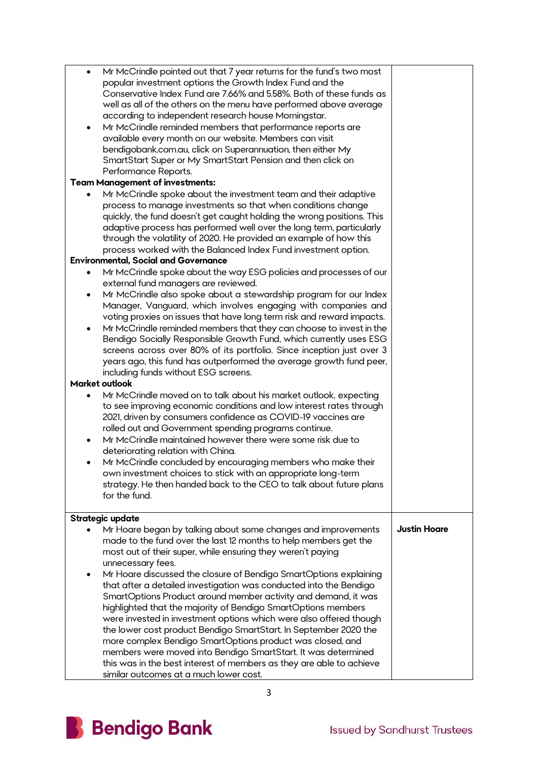| $\bullet$ | Mr McCrindle pointed out that 7 year returns for the fund's two most   |                     |
|-----------|------------------------------------------------------------------------|---------------------|
|           | popular investment options the Growth Index Fund and the               |                     |
|           | Conservative Index Fund are 7.66% and 5.58%. Both of these funds as    |                     |
|           | well as all of the others on the menu have performed above average     |                     |
|           | according to independent research house Morningstar.                   |                     |
| ٠         | Mr McCrindle reminded members that performance reports are             |                     |
|           | available every month on our website. Members can visit                |                     |
|           | bendigobank.com.au, click on Superannuation, then either My            |                     |
|           | SmartStart Super or My SmartStart Pension and then click on            |                     |
|           | Performance Reports.                                                   |                     |
|           | <b>Team Management of investments:</b>                                 |                     |
|           |                                                                        |                     |
|           | Mr McCrindle spoke about the investment team and their adaptive        |                     |
|           | process to manage investments so that when conditions change           |                     |
|           | quickly, the fund doesn't get caught holding the wrong positions. This |                     |
|           | adaptive process has performed well over the long term, particularly   |                     |
|           | through the volatility of 2020. He provided an example of how this     |                     |
|           | process worked with the Balanced Index Fund investment option.         |                     |
|           | <b>Environmental, Social and Governance</b>                            |                     |
|           | Mr McCrindle spoke about the way ESG policies and processes of our     |                     |
|           | external fund managers are reviewed.                                   |                     |
| ٠         | Mr McCrindle also spoke about a stewardship program for our Index      |                     |
|           | Manager, Vanguard, which involves engaging with companies and          |                     |
|           | voting proxies on issues that have long term risk and reward impacts.  |                     |
| ٠         | Mr McCrindle reminded members that they can choose to invest in the    |                     |
|           | Bendigo Socially Responsible Growth Fund, which currently uses ESG     |                     |
|           |                                                                        |                     |
|           | screens across over 80% of its portfolio. Since inception just over 3  |                     |
|           | years ago, this fund has outperformed the average growth fund peer,    |                     |
|           | including funds without ESG screens.                                   |                     |
|           | Market outlook                                                         |                     |
| $\bullet$ | Mr McCrindle moved on to talk about his market outlook, expecting      |                     |
|           | to see improving economic conditions and low interest rates through    |                     |
|           | 2021, driven by consumers confidence as COVID-19 vaccines are          |                     |
|           | rolled out and Government spending programs continue.                  |                     |
| $\bullet$ | Mr McCrindle maintained however there were some risk due to            |                     |
|           | deteriorating relation with China.                                     |                     |
| ٠         | Mr McCrindle concluded by encouraging members who make their           |                     |
|           | own investment choices to stick with an appropriate long-term          |                     |
|           | strategy. He then handed back to the CEO to talk about future plans    |                     |
|           | for the fund.                                                          |                     |
|           |                                                                        |                     |
|           | Strategic update                                                       |                     |
|           | Mr Hoare began by talking about some changes and improvements          | <b>Justin Hoare</b> |
|           |                                                                        |                     |
|           | made to the fund over the last 12 months to help members get the       |                     |
|           | most out of their super, while ensuring they weren't paying            |                     |
|           | unnecessary fees.                                                      |                     |
| ٠         | Mr Hoare discussed the closure of Bendigo SmartOptions explaining      |                     |
|           | that after a detailed investigation was conducted into the Bendigo     |                     |
|           | SmartOptions Product around member activity and demand, it was         |                     |
|           | highlighted that the majority of Bendigo SmartOptions members          |                     |
|           | were invested in investment options which were also offered though     |                     |
|           | the lower cost product Bendigo SmartStart. In September 2020 the       |                     |
|           | more complex Bendigo SmartOptions product was closed, and              |                     |
|           | members were moved into Bendigo SmartStart. It was determined          |                     |
|           | this was in the best interest of members as they are able to achieve   |                     |
|           | similar outcomes at a much lower cost.                                 |                     |
|           |                                                                        |                     |

3

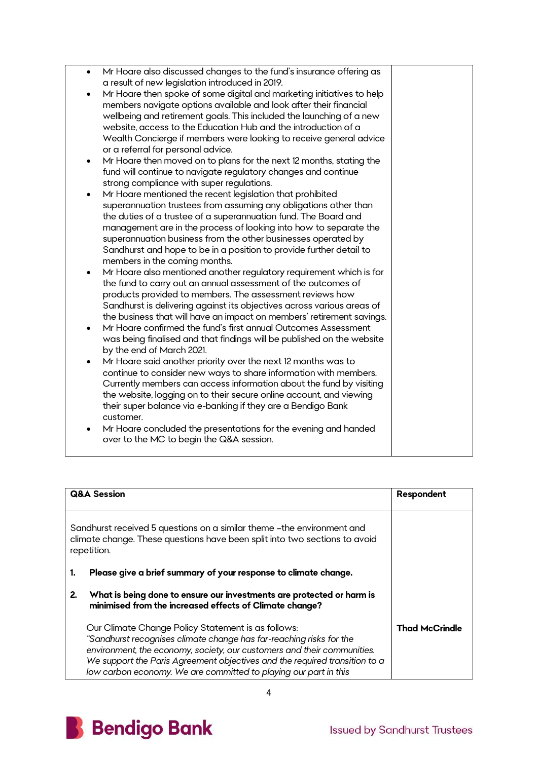| Mr Hoare also discussed changes to the fund's insurance offering as<br>$\bullet$                            |  |
|-------------------------------------------------------------------------------------------------------------|--|
| a result of new legislation introduced in 2019.                                                             |  |
| Mr Hoare then spoke of some digital and marketing initiatives to help                                       |  |
| members navigate options available and look after their financial                                           |  |
| wellbeing and retirement goals. This included the launching of a new                                        |  |
| website, access to the Education Hub and the introduction of a                                              |  |
| Wealth Concierge if members were looking to receive general advice                                          |  |
| or a referral for personal advice.                                                                          |  |
| Mr Hoare then moved on to plans for the next 12 months, stating the<br>٠                                    |  |
| fund will continue to navigate regulatory changes and continue                                              |  |
| strong compliance with super regulations.                                                                   |  |
| Mr Hoare mentioned the recent legislation that prohibited                                                   |  |
| superannuation trustees from assuming any obligations other than                                            |  |
| the duties of a trustee of a superannuation fund. The Board and                                             |  |
| management are in the process of looking into how to separate the                                           |  |
|                                                                                                             |  |
| superannuation business from the other businesses operated by                                               |  |
| Sandhurst and hope to be in a position to provide further detail to                                         |  |
| members in the coming months.                                                                               |  |
| Mr Hoare also mentioned another regulatory requirement which is for<br>٠                                    |  |
| the fund to carry out an annual assessment of the outcomes of                                               |  |
| products provided to members. The assessment reviews how                                                    |  |
| Sandhurst is delivering against its objectives across various areas of                                      |  |
| the business that will have an impact on members' retirement savings.                                       |  |
| Mr Hoare confirmed the fund's first annual Outcomes Assessment<br>$\bullet$                                 |  |
| was being finalised and that findings will be published on the website                                      |  |
| by the end of March 2021.                                                                                   |  |
| Mr Hoare said another priority over the next 12 months was to                                               |  |
| continue to consider new ways to share information with members.                                            |  |
| Currently members can access information about the fund by visiting                                         |  |
| the website, logging on to their secure online account, and viewing                                         |  |
| their super balance via e-banking if they are a Bendigo Bank                                                |  |
| customer.                                                                                                   |  |
|                                                                                                             |  |
|                                                                                                             |  |
| Mr Hoare concluded the presentations for the evening and handed<br>over to the MC to begin the Q&A session. |  |

| <b>Q&amp;A Session</b>                                                                                                                                               |                                                                                                                                                                                                                                                                                                                                                        | Respondent            |
|----------------------------------------------------------------------------------------------------------------------------------------------------------------------|--------------------------------------------------------------------------------------------------------------------------------------------------------------------------------------------------------------------------------------------------------------------------------------------------------------------------------------------------------|-----------------------|
| Sandhurst received 5 questions on a similar theme - the environment and<br>climate change. These questions have been split into two sections to avoid<br>repetition. |                                                                                                                                                                                                                                                                                                                                                        |                       |
| 1.                                                                                                                                                                   | Please give a brief summary of your response to climate change.                                                                                                                                                                                                                                                                                        |                       |
| 2.                                                                                                                                                                   | What is being done to ensure our investments are protected or harm is<br>minimised from the increased effects of Climate change?                                                                                                                                                                                                                       |                       |
|                                                                                                                                                                      | Our Climate Change Policy Statement is as follows:<br>"Sandhurst recognises climate change has far-reaching risks for the<br>environment, the economy, society, our customers and their communities.<br>We support the Paris Agreement objectives and the required transition to a<br>low carbon economy. We are committed to playing our part in this | <b>Thad McCrindle</b> |

4

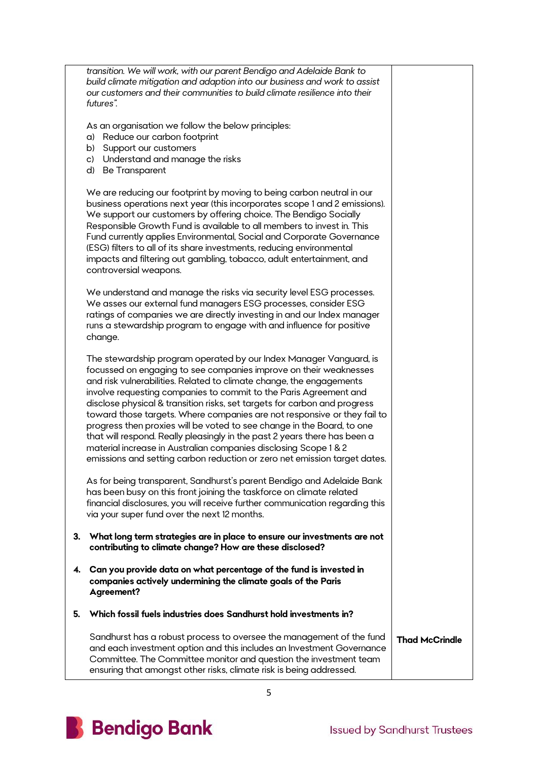|    | transition. We will work, with our parent Bendigo and Adelaide Bank to<br>build climate mitigation and adaption into our business and work to assist<br>our customers and their communities to build climate resilience into their<br>futures".                                                                                                                                                                                                                                                                                                                                                                                                                                                                                                       |                       |
|----|-------------------------------------------------------------------------------------------------------------------------------------------------------------------------------------------------------------------------------------------------------------------------------------------------------------------------------------------------------------------------------------------------------------------------------------------------------------------------------------------------------------------------------------------------------------------------------------------------------------------------------------------------------------------------------------------------------------------------------------------------------|-----------------------|
|    | As an organisation we follow the below principles:<br>a) Reduce our carbon footprint<br>Support our customers<br>b)<br>c) Understand and manage the risks                                                                                                                                                                                                                                                                                                                                                                                                                                                                                                                                                                                             |                       |
|    | d) Be Transparent                                                                                                                                                                                                                                                                                                                                                                                                                                                                                                                                                                                                                                                                                                                                     |                       |
|    | We are reducing our footprint by moving to being carbon neutral in our<br>business operations next year (this incorporates scope 1 and 2 emissions).<br>We support our customers by offering choice. The Bendigo Socially<br>Responsible Growth Fund is available to all members to invest in. This<br>Fund currently applies Environmental, Social and Corporate Governance<br>(ESG) filters to all of its share investments, reducing environmental<br>impacts and filtering out gambling, tobacco, adult entertainment, and<br>controversial weapons.                                                                                                                                                                                              |                       |
|    | We understand and manage the risks via security level ESG processes.<br>We asses our external fund managers ESG processes, consider ESG<br>ratings of companies we are directly investing in and our Index manager<br>runs a stewardship program to engage with and influence for positive<br>change.                                                                                                                                                                                                                                                                                                                                                                                                                                                 |                       |
|    | The stewardship program operated by our Index Manager Vanguard, is<br>focussed on engaging to see companies improve on their weaknesses<br>and risk vulnerabilities. Related to climate change, the engagements<br>involve requesting companies to commit to the Paris Agreement and<br>disclose physical & transition risks, set targets for carbon and progress<br>toward those targets. Where companies are not responsive or they fail to<br>progress then proxies will be voted to see change in the Board, to one<br>that will respond. Really pleasingly in the past 2 years there has been a<br>material increase in Australian companies disclosing Scope 1 & 2<br>emissions and setting carbon reduction or zero net emission target dates. |                       |
|    | As for being transparent, Sandhurst's parent Bendigo and Adelaide Bank<br>has been busy on this front joining the taskforce on climate related<br>financial disclosures, you will receive further communication regarding this<br>via your super fund over the next 12 months.                                                                                                                                                                                                                                                                                                                                                                                                                                                                        |                       |
| З. | What long term strategies are in place to ensure our investments are not<br>contributing to climate change? How are these disclosed?                                                                                                                                                                                                                                                                                                                                                                                                                                                                                                                                                                                                                  |                       |
| 4. | Can you provide data on what percentage of the fund is invested in<br>companies actively undermining the climate goals of the Paris<br>Agreement?                                                                                                                                                                                                                                                                                                                                                                                                                                                                                                                                                                                                     |                       |
| 5. | Which fossil fuels industries does Sandhurst hold investments in?                                                                                                                                                                                                                                                                                                                                                                                                                                                                                                                                                                                                                                                                                     |                       |
|    | Sandhurst has a robust process to oversee the management of the fund<br>and each investment option and this includes an Investment Governance<br>Committee. The Committee monitor and question the investment team<br>ensuring that amongst other risks, climate risk is being addressed.                                                                                                                                                                                                                                                                                                                                                                                                                                                             | <b>Thad McCrindle</b> |

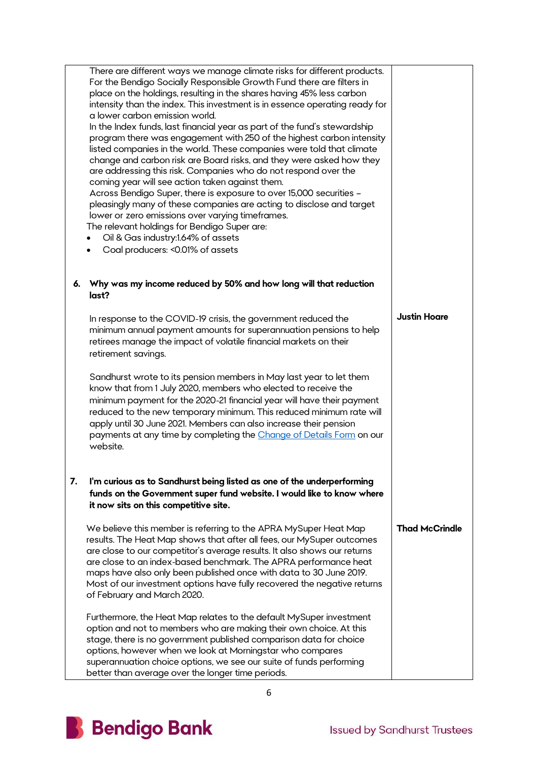|    | There are different ways we manage climate risks for different products.<br>For the Bendigo Socially Responsible Growth Fund there are filters in<br>place on the holdings, resulting in the shares having 45% less carbon<br>intensity than the index. This investment is in essence operating ready for<br>a lower carbon emission world.<br>In the Index funds, last financial year as part of the fund's stewardship<br>program there was engagement with 250 of the highest carbon intensity<br>listed companies in the world. These companies were told that climate<br>change and carbon risk are Board risks, and they were asked how they<br>are addressing this risk. Companies who do not respond over the<br>coming year will see action taken against them.<br>Across Bendigo Super, there is exposure to over 15,000 securities -<br>pleasingly many of these companies are acting to disclose and target<br>lower or zero emissions over varying timeframes.<br>The relevant holdings for Bendigo Super are:<br>Oil & Gas industry:1.64% of assets<br>Coal producers: < 0.01% of assets |                       |
|----|--------------------------------------------------------------------------------------------------------------------------------------------------------------------------------------------------------------------------------------------------------------------------------------------------------------------------------------------------------------------------------------------------------------------------------------------------------------------------------------------------------------------------------------------------------------------------------------------------------------------------------------------------------------------------------------------------------------------------------------------------------------------------------------------------------------------------------------------------------------------------------------------------------------------------------------------------------------------------------------------------------------------------------------------------------------------------------------------------------|-----------------------|
| 6. | Why was my income reduced by 50% and how long will that reduction<br>last?                                                                                                                                                                                                                                                                                                                                                                                                                                                                                                                                                                                                                                                                                                                                                                                                                                                                                                                                                                                                                             |                       |
|    | In response to the COVID-19 crisis, the government reduced the<br>minimum annual payment amounts for superannuation pensions to help<br>retirees manage the impact of volatile financial markets on their<br>retirement savings.                                                                                                                                                                                                                                                                                                                                                                                                                                                                                                                                                                                                                                                                                                                                                                                                                                                                       | <b>Justin Hoare</b>   |
|    | Sandhurst wrote to its pension members in May last year to let them<br>know that from 1 July 2020, members who elected to receive the<br>minimum payment for the 2020-21 financial year will have their payment<br>reduced to the new temporary minimum. This reduced minimum rate will<br>apply until 30 June 2021. Members can also increase their pension<br>payments at any time by completing the Change of Details Form on our<br>website.                                                                                                                                                                                                                                                                                                                                                                                                                                                                                                                                                                                                                                                       |                       |
| 7. | I'm curious as to Sandhurst being listed as one of the underperforming<br>funds on the Government super fund website. I would like to know where<br>it now sits on this competitive site.                                                                                                                                                                                                                                                                                                                                                                                                                                                                                                                                                                                                                                                                                                                                                                                                                                                                                                              |                       |
|    | We believe this member is referring to the APRA MySuper Heat Map<br>results. The Heat Map shows that after all fees, our MySuper outcomes<br>are close to our competitor's average results. It also shows our returns<br>are close to an index-based benchmark. The APRA performance heat<br>maps have also only been published once with data to 30 June 2019.<br>Most of our investment options have fully recovered the negative returns<br>of February and March 2020.                                                                                                                                                                                                                                                                                                                                                                                                                                                                                                                                                                                                                             | <b>Thad McCrindle</b> |
|    | Furthermore, the Heat Map relates to the default MySuper investment<br>option and not to members who are making their own choice. At this<br>stage, there is no government published comparison data for choice<br>options, however when we look at Morningstar who compares<br>superannuation choice options, we see our suite of funds performing<br>better than average over the longer time periods.                                                                                                                                                                                                                                                                                                                                                                                                                                                                                                                                                                                                                                                                                               |                       |

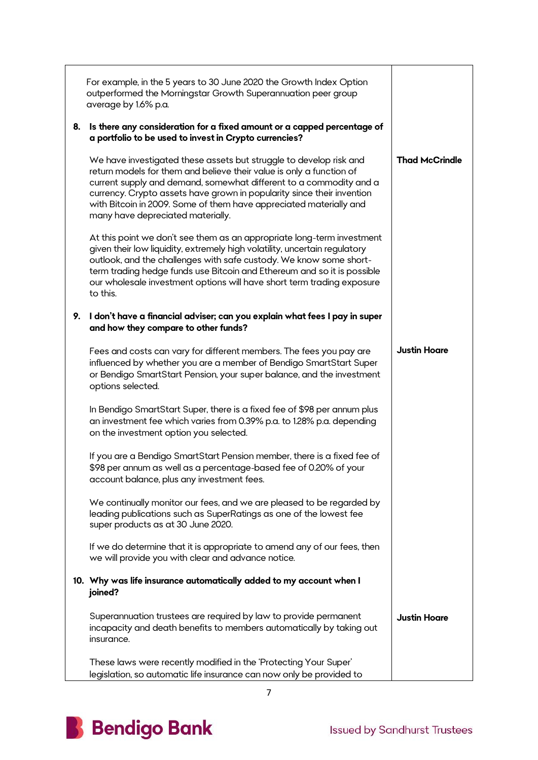|    | For example, in the 5 years to 30 June 2020 the Growth Index Option<br>outperformed the Morningstar Growth Superannuation peer group<br>average by 1.6% p.a.                                                                                                                                                                                                                                          |                       |
|----|-------------------------------------------------------------------------------------------------------------------------------------------------------------------------------------------------------------------------------------------------------------------------------------------------------------------------------------------------------------------------------------------------------|-----------------------|
| 8. | Is there any consideration for a fixed amount or a capped percentage of<br>a portfolio to be used to invest in Crypto currencies?                                                                                                                                                                                                                                                                     |                       |
|    | We have investigated these assets but struggle to develop risk and<br>return models for them and believe their value is only a function of<br>current supply and demand, somewhat different to a commodity and a<br>currency. Crypto assets have grown in popularity since their invention<br>with Bitcoin in 2009. Some of them have appreciated materially and<br>many have depreciated materially. | <b>Thad McCrindle</b> |
|    | At this point we don't see them as an appropriate long-term investment<br>given their low liquidity, extremely high volatility, uncertain regulatory<br>outlook, and the challenges with safe custody. We know some short-<br>term trading hedge funds use Bitcoin and Ethereum and so it is possible<br>our wholesale investment options will have short term trading exposure<br>to this.           |                       |
| 9. | I don't have a financial adviser; can you explain what fees I pay in super<br>and how they compare to other funds?                                                                                                                                                                                                                                                                                    |                       |
|    | Fees and costs can vary for different members. The fees you pay are<br>influenced by whether you are a member of Bendigo SmartStart Super<br>or Bendigo SmartStart Pension, your super balance, and the investment<br>options selected.                                                                                                                                                               | <b>Justin Hoare</b>   |
|    | In Bendigo SmartStart Super, there is a fixed fee of \$98 per annum plus<br>an investment fee which varies from 0.39% p.a. to 1.28% p.a. depending<br>on the investment option you selected.                                                                                                                                                                                                          |                       |
|    | If you are a Bendigo SmartStart Pension member, there is a fixed fee of<br>\$98 per annum as well as a percentage-based fee of 0.20% of your<br>account balance, plus any investment fees.                                                                                                                                                                                                            |                       |
|    | We continually monitor our fees, and we are pleased to be regarded by<br>leading publications such as SuperRatings as one of the lowest fee<br>super products as at 30 June 2020.                                                                                                                                                                                                                     |                       |
|    | If we do determine that it is appropriate to amend any of our fees, then<br>we will provide you with clear and advance notice.                                                                                                                                                                                                                                                                        |                       |
|    | 10. Why was life insurance automatically added to my account when I<br>joined?                                                                                                                                                                                                                                                                                                                        |                       |
|    | Superannuation trustees are required by law to provide permanent<br>incapacity and death benefits to members automatically by taking out<br>insurance.                                                                                                                                                                                                                                                | <b>Justin Hoare</b>   |
|    | These laws were recently modified in the 'Protecting Your Super'<br>legislation, so automatic life insurance can now only be provided to                                                                                                                                                                                                                                                              |                       |